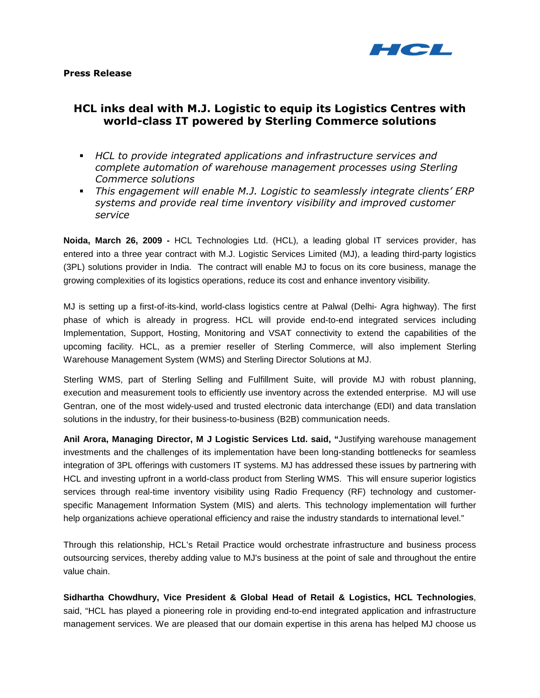

# HCL inks deal with M.J. Logistic to equip its Logistics Centres with world-class IT powered by Sterling Commerce solutions

- HCL to provide integrated applications and infrastructure services and complete automation of warehouse management processes using Sterling Commerce solutions
- This engagement will enable M.J. Logistic to seamlessly integrate clients' ERP systems and provide real time inventory visibility and improved customer service

**Noida, March 26, 2009 -** HCL Technologies Ltd. (HCL), a leading global IT services provider, has entered into a three year contract with M.J. Logistic Services Limited (MJ), a leading third-party logistics (3PL) solutions provider in India. The contract will enable MJ to focus on its core business, manage the growing complexities of its logistics operations, reduce its cost and enhance inventory visibility.

MJ is setting up a first-of-its-kind, world-class logistics centre at Palwal (Delhi- Agra highway). The first phase of which is already in progress. HCL will provide end-to-end integrated services including Implementation, Support, Hosting, Monitoring and VSAT connectivity to extend the capabilities of the upcoming facility. HCL, as a premier reseller of Sterling Commerce, will also implement Sterling Warehouse Management System (WMS) and Sterling Director Solutions at MJ.

Sterling WMS, part of Sterling Selling and Fulfillment Suite, will provide MJ with robust planning, execution and measurement tools to efficiently use inventory across the extended enterprise. MJ will use Gentran, one of the most widely-used and trusted electronic data interchange (EDI) and data translation solutions in the industry, for their business-to-business (B2B) communication needs.

**Anil Arora, Managing Director, M J Logistic Services Ltd. said, "**Justifying warehouse management investments and the challenges of its implementation have been long-standing bottlenecks for seamless integration of 3PL offerings with customers IT systems. MJ has addressed these issues by partnering with HCL and investing upfront in a world-class product from Sterling WMS. This will ensure superior logistics services through real-time inventory visibility using Radio Frequency (RF) technology and customerspecific Management Information System (MIS) and alerts. This technology implementation will further help organizations achieve operational efficiency and raise the industry standards to international level."

Through this relationship, HCL's Retail Practice would orchestrate infrastructure and business process outsourcing services, thereby adding value to MJ's business at the point of sale and throughout the entire value chain.

**Sidhartha Chowdhury, Vice President & Global Head of Retail & Logistics, HCL Technologies**, said, "HCL has played a pioneering role in providing end-to-end integrated application and infrastructure management services. We are pleased that our domain expertise in this arena has helped MJ choose us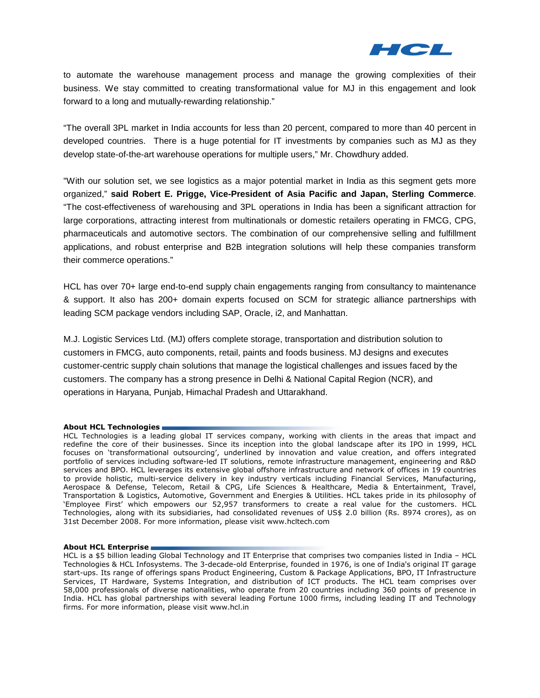

to automate the warehouse management process and manage the growing complexities of their business. We stay committed to creating transformational value for MJ in this engagement and look forward to a long and mutually-rewarding relationship."

"The overall 3PL market in India accounts for less than 20 percent, compared to more than 40 percent in developed countries. There is a huge potential for IT investments by companies such as MJ as they develop state-of-the-art warehouse operations for multiple users," Mr. Chowdhury added.

"With our solution set, we see logistics as a major potential market in India as this segment gets more organized," **said Robert E. Prigge, Vice-President of Asia Pacific and Japan, Sterling Commerce**. "The cost-effectiveness of warehousing and 3PL operations in India has been a significant attraction for large corporations, attracting interest from multinationals or domestic retailers operating in FMCG, CPG, pharmaceuticals and automotive sectors. The combination of our comprehensive selling and fulfillment applications, and robust enterprise and B2B integration solutions will help these companies transform their commerce operations."

HCL has over 70+ large end-to-end supply chain engagements ranging from consultancy to maintenance & support. It also has 200+ domain experts focused on SCM for strategic alliance partnerships with leading SCM package vendors including SAP, Oracle, i2, and Manhattan.

M.J. Logistic Services Ltd. (MJ) offers complete storage, transportation and distribution solution to customers in FMCG, auto components, retail, paints and foods business. MJ designs and executes customer-centric supply chain solutions that manage the logistical challenges and issues faced by the customers. The company has a strong presence in Delhi & National Capital Region (NCR), and operations in Haryana, Punjab, Himachal Pradesh and Uttarakhand.

## About HCL Technologies

HCL Technologies is a leading global IT services company, working with clients in the areas that impact and redefine the core of their businesses. Since its inception into the global landscape after its IPO in 1999, HCL focuses on 'transformational outsourcing', underlined by innovation and value creation, and offers integrated portfolio of services including software-led IT solutions, remote infrastructure management, engineering and R&D services and BPO. HCL leverages its extensive global offshore infrastructure and network of offices in 19 countries to provide holistic, multi-service delivery in key industry verticals including Financial Services, Manufacturing, Aerospace & Defense, Telecom, Retail & CPG, Life Sciences & Healthcare, Media & Entertainment, Travel, Transportation & Logistics, Automotive, Government and Energies & Utilities. HCL takes pride in its philosophy of 'Employee First' which empowers our 52,957 transformers to create a real value for the customers. HCL Technologies, along with its subsidiaries, had consolidated revenues of US\$ 2.0 billion (Rs. 8974 crores), as on 31st December 2008. For more information, please visit www.hcltech.com

## About HCL Enterprise

HCL is a \$5 billion leading Global Technology and IT Enterprise that comprises two companies listed in India – HCL Technologies & HCL Infosystems. The 3-decade-old Enterprise, founded in 1976, is one of India's original IT garage start-ups. Its range of offerings spans Product Engineering, Custom & Package Applications, BPO, IT Infrastructure Services, IT Hardware, Systems Integration, and distribution of ICT products. The HCL team comprises over 58,000 professionals of diverse nationalities, who operate from 20 countries including 360 points of presence in India. HCL has global partnerships with several leading Fortune 1000 firms, including leading IT and Technology firms. For more information, please visit www.hcl.in